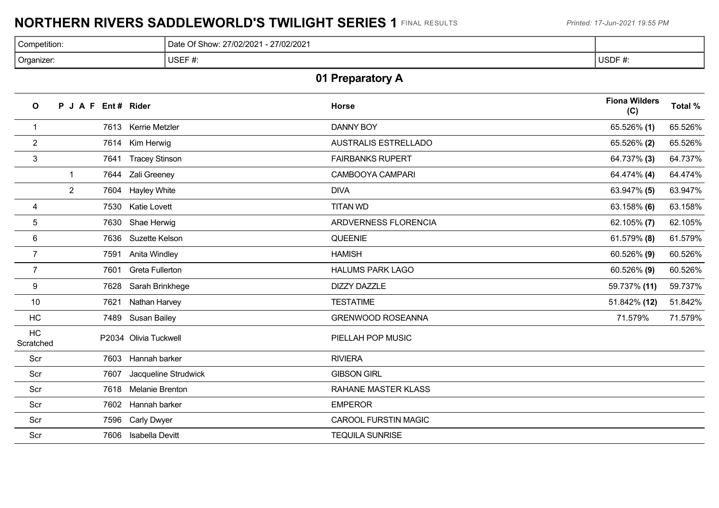# **NORTHERN RIVERS SADDLEWORLD'S TWILIGHT SERIES 1** FINAL RESULTS *Printed: 17-Jun-2021 19:55 PM*

| Competition: | 27/02/2021<br>/Of Show רבר<br>27/02/202<br>ີ |                          |
|--------------|----------------------------------------------|--------------------------|
| Organizer:   | USEF $#$<br>π.                               | <b>USDF</b><br><b>H.</b> |

# **01 Preparatory A**

| $\mathbf{o}$    | P J A F Ent # Rider |      |                        | <b>Horse</b>                | <b>Fiona Wilders</b><br>(C) | Total % |
|-----------------|---------------------|------|------------------------|-----------------------------|-----------------------------|---------|
| -1              |                     |      | 7613 Kerrie Metzler    | <b>DANNY BOY</b>            | 65.526% (1)                 | 65.526% |
| $\overline{2}$  |                     |      | 7614 Kim Herwig        | <b>AUSTRALIS ESTRELLADO</b> | 65.526% (2)                 | 65.526% |
| 3               |                     | 7641 | <b>Tracey Stinson</b>  | <b>FAIRBANKS RUPERT</b>     | 64.737% (3)                 | 64.737% |
|                 | -1                  |      | 7644 Zali Greeney      | CAMBOOYA CAMPARI            | 64.474% (4)                 | 64.474% |
|                 | 2                   |      | 7604 Hayley White      | <b>DIVA</b>                 | 63.947% (5)                 | 63.947% |
| 4               |                     | 7530 | <b>Katie Lovett</b>    | <b>TITAN WD</b>             | 63.158% $(6)$               | 63.158% |
| $\overline{5}$  |                     |      | 7630 Shae Herwig       | ARDVERNESS FLORENCIA        | $62.105\%$ (7)              | 62.105% |
| 6               |                     | 7636 | Suzette Kelson         | QUEENIE                     | $61.579\%$ (8)              | 61.579% |
| $\overline{7}$  |                     | 7591 | Anita Windley          | <b>HAMISH</b>               | 60.526% (9)                 | 60.526% |
| $\overline{7}$  |                     | 7601 | <b>Greta Fullerton</b> | <b>HALUMS PARK LAGO</b>     | 60.526% (9)                 | 60.526% |
| 9               |                     | 7628 | Sarah Brinkhege        | <b>DIZZY DAZZLE</b>         | 59.737% (11)                | 59.737% |
| 10              |                     | 7621 | Nathan Harvey          | <b>TESTATIME</b>            | 51.842% (12)                | 51.842% |
| HC              |                     | 7489 | <b>Susan Bailey</b>    | <b>GRENWOOD ROSEANNA</b>    | 71.579%                     | 71.579% |
| HC<br>Scratched |                     |      | P2034 Olivia Tuckwell  | PIELLAH POP MUSIC           |                             |         |
| Scr             |                     | 7603 | Hannah barker          | <b>RIVIERA</b>              |                             |         |
| Scr             |                     | 7607 | Jacqueline Strudwick   | <b>GIBSON GIRL</b>          |                             |         |
| Scr             |                     | 7618 | <b>Melanie Brenton</b> | <b>RAHANE MASTER KLASS</b>  |                             |         |
| Scr             |                     | 7602 | Hannah barker          | <b>EMPEROR</b>              |                             |         |
| Scr             |                     | 7596 | <b>Carly Dwyer</b>     | <b>CAROOL FURSTIN MAGIC</b> |                             |         |
| Scr             |                     | 7606 | Isabella Devitt        | <b>TEQUILA SUNRISE</b>      |                             |         |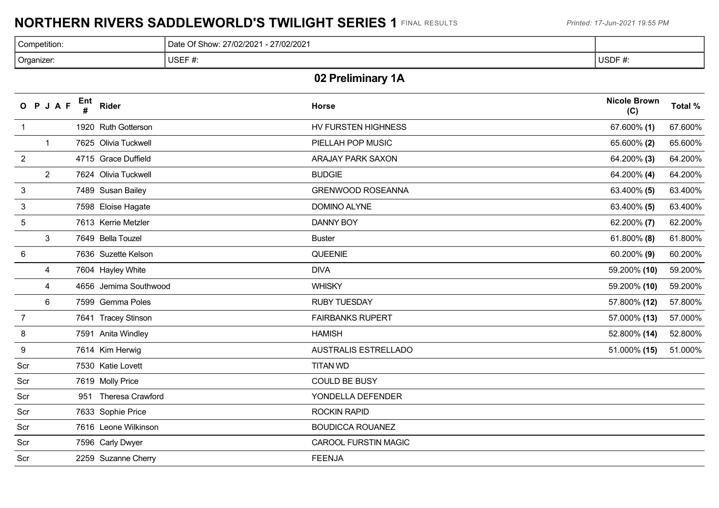# **NORTHERN RIVERS SADDLEWORLD'S TWILIGHT SERIES 1** FINAL RESULTS *Printed: 17-Jun-2021 19:55 PM*

| Competition: | Of Show:<br>27/02/2021<br>27/02/2021<br>Date |             |
|--------------|----------------------------------------------|-------------|
| Organizer:   | USEF#<br>₩.                                  | USDF#<br>π. |

## **02 Preliminary 1A**

|                 | O P J A F      | Ent | <b>Rider</b>          | <b>Horse</b>                | <b>Nicole Brown</b><br>(C) | Total % |
|-----------------|----------------|-----|-----------------------|-----------------------------|----------------------------|---------|
| $\overline{1}$  |                |     | 1920 Ruth Gotterson   | HV FURSTEN HIGHNESS         | $67.600\%$ (1)             | 67.600% |
|                 | $\mathbf{1}$   |     | 7625 Olivia Tuckwell  | PIELLAH POP MUSIC           | 65.600% (2)                | 65.600% |
| $\overline{2}$  |                |     | 4715 Grace Duffield   | ARAJAY PARK SAXON           | 64.200% (3)                | 64.200% |
|                 | $\overline{2}$ |     | 7624 Olivia Tuckwell  | <b>BUDGIE</b>               | 64.200% (4)                | 64.200% |
| $\sqrt{3}$      |                |     | 7489 Susan Bailey     | <b>GRENWOOD ROSEANNA</b>    | 63.400% (5)                | 63.400% |
| 3               |                |     | 7598 Eloise Hagate    | <b>DOMINO ALYNE</b>         | 63.400% (5)                | 63.400% |
| $\overline{5}$  |                |     | 7613 Kerrie Metzler   | <b>DANNY BOY</b>            | 62.200% (7)                | 62.200% |
|                 | 3              |     | 7649 Bella Touzel     | <b>Buster</b>               | $61.800\%$ (8)             | 61.800% |
| $6\phantom{1}6$ |                |     | 7636 Suzette Kelson   | QUEENIE                     | 60.200% (9)                | 60.200% |
|                 | 4              |     | 7604 Hayley White     | <b>DIVA</b>                 | 59.200% (10)               | 59.200% |
|                 | 4              |     | 4656 Jemima Southwood | <b>WHISKY</b>               | 59.200% (10)               | 59.200% |
|                 | 6              |     | 7599 Gemma Poles      | <b>RUBY TUESDAY</b>         | 57.800% (12)               | 57.800% |
| $\overline{7}$  |                |     | 7641 Tracey Stinson   | <b>FAIRBANKS RUPERT</b>     | 57.000% (13)               | 57.000% |
| 8               |                |     | 7591 Anita Windley    | <b>HAMISH</b>               | 52.800% (14)               | 52.800% |
| 9               |                |     | 7614 Kim Herwig       | <b>AUSTRALIS ESTRELLADO</b> | 51.000% (15)               | 51.000% |
| Scr             |                |     | 7530 Katie Lovett     | <b>TITAN WD</b>             |                            |         |
| Scr             |                |     | 7619 Molly Price      | <b>COULD BE BUSY</b>        |                            |         |
| Scr             |                |     | 951 Theresa Crawford  | YONDELLA DEFENDER           |                            |         |
| Scr             |                |     | 7633 Sophie Price     | <b>ROCKIN RAPID</b>         |                            |         |
| Scr             |                |     | 7616 Leone Wilkinson  | <b>BOUDICCA ROUANEZ</b>     |                            |         |
| Scr             |                |     | 7596 Carly Dwyer      | <b>CAROOL FURSTIN MAGIC</b> |                            |         |
| Scr             |                |     | 2259 Suzanne Cherry   | <b>FEENJA</b>               |                            |         |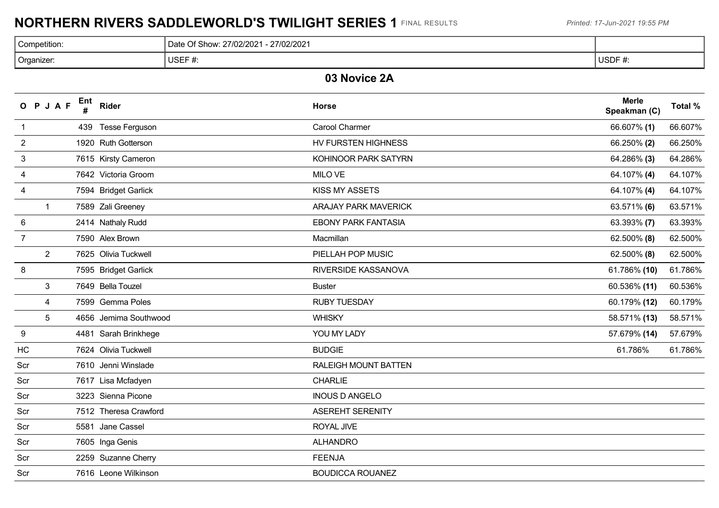# **NORTHERN RIVERS SADDLEWORLD'S TWILIGHT SERIES 1** FINAL RESULTS *Printed: 17-Jun-2021 19:55 PM*

| Competition: | Date Of Show: 27/02/2021 - 27/02/2021 |              |
|--------------|---------------------------------------|--------------|
| Organizer:   | USEF#<br>₩.                           | ∣ USDF<br>π. |

### **03 Novice 2A**

|                | O P J A F      | Ent | Rider                 | <b>Horse</b>                | <b>Merle</b><br>Speakman (C) | Total % |
|----------------|----------------|-----|-----------------------|-----------------------------|------------------------------|---------|
| $\mathbf{1}$   |                |     | 439 Tesse Ferguson    | <b>Carool Charmer</b>       | 66.607% (1)                  | 66.607% |
| $\overline{c}$ |                |     | 1920 Ruth Gotterson   | HV FURSTEN HIGHNESS         | 66.250% (2)                  | 66.250% |
| 3              |                |     | 7615 Kirsty Cameron   | KOHINOOR PARK SATYRN        | 64.286% (3)                  | 64.286% |
| 4              |                |     | 7642 Victoria Groom   | <b>MILO VE</b>              | 64.107% (4)                  | 64.107% |
| 4              |                |     | 7594 Bridget Garlick  | KISS MY ASSETS              | 64.107% (4)                  | 64.107% |
|                | $\mathbf{1}$   |     | 7589 Zali Greeney     | <b>ARAJAY PARK MAVERICK</b> | 63.571% (6)                  | 63.571% |
| 6              |                |     | 2414 Nathaly Rudd     | <b>EBONY PARK FANTASIA</b>  | 63.393% (7)                  | 63.393% |
| $\overline{7}$ |                |     | 7590 Alex Brown       | Macmillan                   | 62.500% (8)                  | 62.500% |
|                | $\overline{2}$ |     | 7625 Olivia Tuckwell  | PIELLAH POP MUSIC           | 62.500% (8)                  | 62.500% |
| 8              |                |     | 7595 Bridget Garlick  | RIVERSIDE KASSANOVA         | 61.786% (10)                 | 61.786% |
|                | 3              |     | 7649 Bella Touzel     | <b>Buster</b>               | 60.536% (11)                 | 60.536% |
|                | 4              |     | 7599 Gemma Poles      | <b>RUBY TUESDAY</b>         | 60.179% (12)                 | 60.179% |
|                | $\overline{5}$ |     | 4656 Jemima Southwood | <b>WHISKY</b>               | 58.571% (13)                 | 58.571% |
| 9              |                |     | 4481 Sarah Brinkhege  | YOU MY LADY                 | 57.679% (14)                 | 57.679% |
| HC             |                |     | 7624 Olivia Tuckwell  | <b>BUDGIE</b>               | 61.786%                      | 61.786% |
| Scr            |                |     | 7610 Jenni Winslade   | RALEIGH MOUNT BATTEN        |                              |         |
| Scr            |                |     | 7617 Lisa Mcfadyen    | <b>CHARLIE</b>              |                              |         |
| Scr            |                |     | 3223 Sienna Picone    | <b>INOUS D ANGELO</b>       |                              |         |
| Scr            |                |     | 7512 Theresa Crawford | <b>ASEREHT SERENITY</b>     |                              |         |
| Scr            |                |     | 5581 Jane Cassel      | ROYAL JIVE                  |                              |         |
| Scr            |                |     | 7605 Inga Genis       | <b>ALHANDRO</b>             |                              |         |
| Scr            |                |     | 2259 Suzanne Cherry   | <b>FEENJA</b>               |                              |         |
| Scr            |                |     | 7616 Leone Wilkinson  | <b>BOUDICCA ROUANEZ</b>     |                              |         |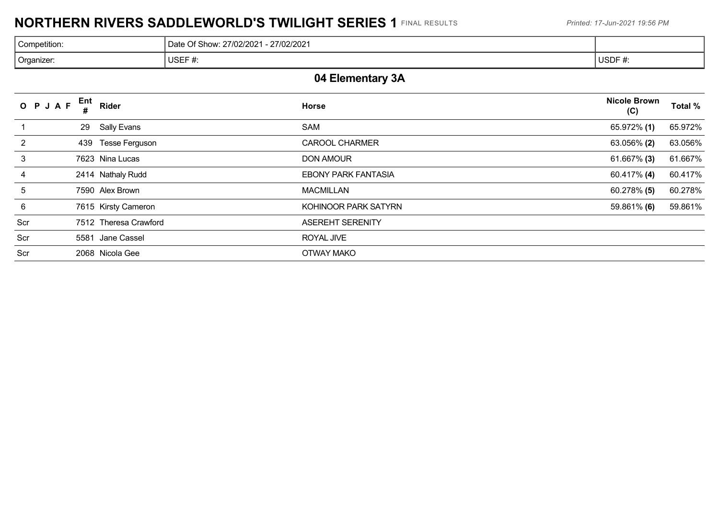# **NORTHERN RIVERS SADDLEWORLD'S TWILIGHT SERIES 1** FINAL RESULTS *Printed: 17-Jun-2021 19:56 PM*

| Competition: | 27/02/2021<br>27/02/2021<br>$\Omega$ f Show<br>ה+הר<br>$\overline{U}$ |      |
|--------------|-----------------------------------------------------------------------|------|
| Organizer:   | USEF $#$<br>. н.                                                      | USDF |

## **04 Elementary 3A**

| O P J A F       | Ent<br>Rider          | <b>Horse</b>               | <b>Nicole Brown</b><br>(C) | Total % |
|-----------------|-----------------------|----------------------------|----------------------------|---------|
|                 | Sally Evans<br>29     | SAM                        | 65.972% (1)                | 65.972% |
| 2               | 439 Tesse Ferguson    | <b>CAROOL CHARMER</b>      | 63.056% (2)                | 63.056% |
| 3               | 7623 Nina Lucas       | <b>DON AMOUR</b>           | $61.667\%$ (3)             | 61.667% |
| 4               | 2414 Nathaly Rudd     | <b>EBONY PARK FANTASIA</b> | 60.417% (4)                | 60.417% |
| 5               | 7590 Alex Brown       | <b>MACMILLAN</b>           | 60.278% (5)                | 60.278% |
| $6\phantom{1}6$ | 7615 Kirsty Cameron   | KOHINOOR PARK SATYRN       | 59.861% (6)                | 59.861% |
| Scr             | 7512 Theresa Crawford | <b>ASEREHT SERENITY</b>    |                            |         |
| Scr             | Jane Cassel<br>5581   | ROYAL JIVE                 |                            |         |
| Scr             | 2068 Nicola Gee       | <b>OTWAY MAKO</b>          |                            |         |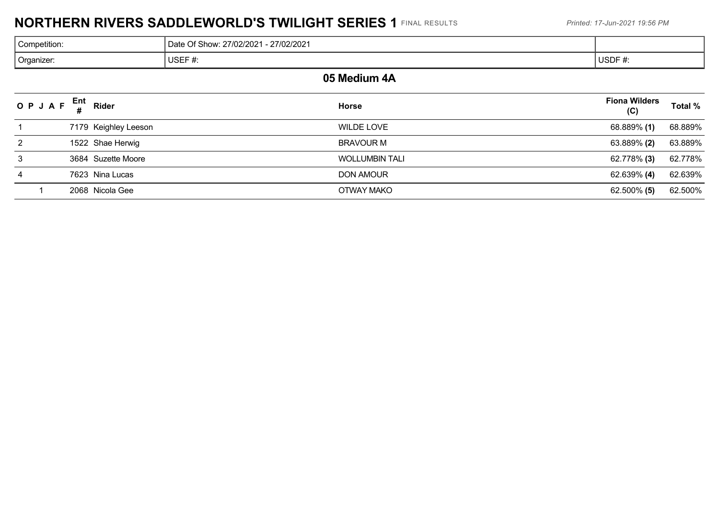# **NORTHERN RIVERS SADDLEWORLD'S TWILIGHT SERIES 1** FINAL RESULTS *Printed: 17-Jun-2021 19:56 PM*

| Competition: | Date Of Show: 27/02/2021 - 27/02/2021 |        |  |  |
|--------------|---------------------------------------|--------|--|--|
| Organizer:   | JSEF#                                 | USDF#: |  |  |
| -----<br>.   |                                       |        |  |  |

#### **05 Medium 4A**

|   | OPJAF $_{\rm H}^{\rm Ent}$ | Rider                | <b>Horse</b>          | <b>Fiona Wilders</b><br>(C) | Total % |
|---|----------------------------|----------------------|-----------------------|-----------------------------|---------|
|   |                            | 7179 Keighley Leeson | WILDE LOVE            | 68.889% (1)                 | 68.889% |
| 2 |                            | 1522 Shae Herwig     | <b>BRAVOUR M</b>      | 63.889% (2)                 | 63.889% |
| 3 |                            | 3684 Suzette Moore   | <b>WOLLUMBIN TALI</b> | 62.778% (3)                 | 62.778% |
| 4 |                            | 7623 Nina Lucas      | <b>DON AMOUR</b>      | 62.639% (4)                 | 62.639% |
|   |                            | 2068 Nicola Gee      | OTWAY MAKO            | 62.500% (5)                 | 62.500% |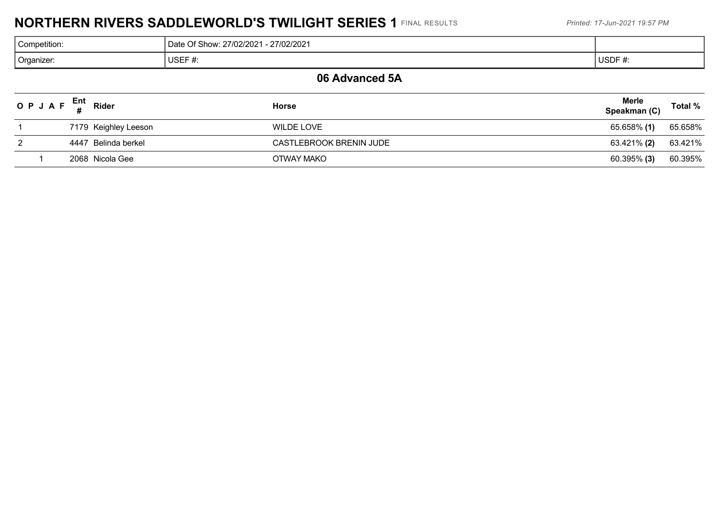# **NORTHERN RIVERS SADDLEWORLD'S TWILIGHT SERIES 1** FINAL RESULTS *Printed: 17-Jun-2021 19:57 PM*

| Competition:            | - 27/02/2021<br>Date Of Show: 27/02/2021 |        |
|-------------------------|------------------------------------------|--------|
| <sup>'</sup> Organizer: | USEF#                                    | USDF#: |
|                         |                                          |        |

#### **06 Advanced 5A**

| OPJAF $_{\rm \#}^{\rm Ent}$ Rider |                      | Horse                   | <b>Merle</b><br>Speakman (C) | Total % |
|-----------------------------------|----------------------|-------------------------|------------------------------|---------|
|                                   | 7179 Keighley Leeson | WILDE LOVE              | 65.658% (1)                  | 65.658% |
|                                   | 4447 Belinda berkel  | CASTLEBROOK BRENIN JUDE | 63.421% (2)                  | 63.421% |
|                                   | 2068 Nicola Gee      | OTWAY MAKO              | $60.395\%$ (3)               | 60.395% |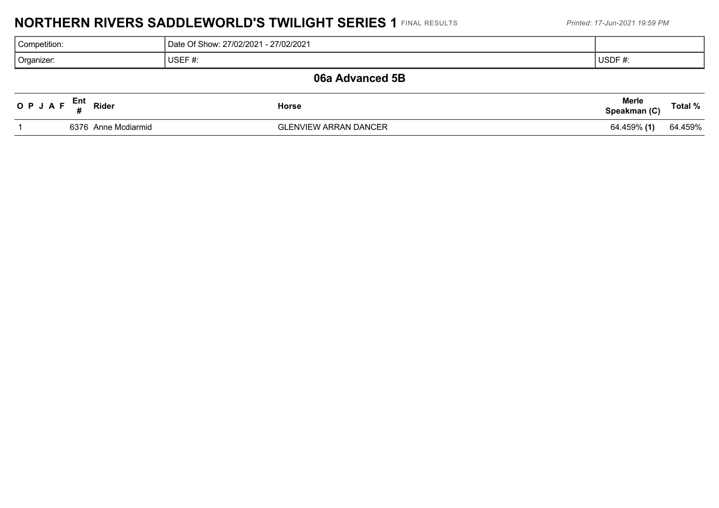# **NORTHERN RIVERS SADDLEWORLD'S TWILIGHT SERIES 1** FINAL RESULTS *Printed: 17-Jun-2021 19:59 PM*

| Competition:    | Date Of Show: 27/02/2021 - 27/02/2021 |                      |  |  |  |  |
|-----------------|---------------------------------------|----------------------|--|--|--|--|
| Organizer:      | USEF $#$ :                            | $^{\dagger}$ USDF #: |  |  |  |  |
| 06a Advanced 5B |                                       |                      |  |  |  |  |

| OPJAF | Ent<br>Rider        | Horse                        | <b>Merle</b><br>Speakman (C) | Total % |
|-------|---------------------|------------------------------|------------------------------|---------|
|       | 6376 Anne Mcdiarmid | <b>GLENVIEW ARRAN DANCER</b> | 64.459% (1)                  | 64.459% |